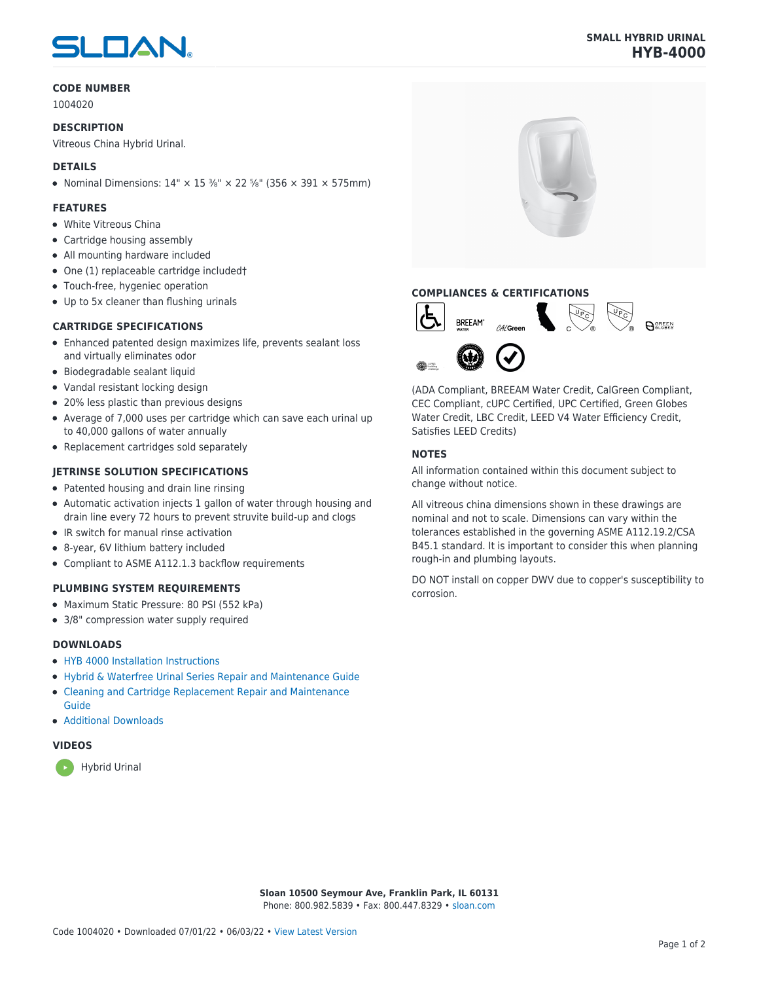# SLOAN

## **CODE NUMBER**

1004020

#### **DESCRIPTION**

Vitreous China Hybrid Urinal.

### **DETAILS**

• Nominal Dimensions:  $14" \times 15\frac{3}{8}" \times 22\frac{5}{8}"$  (356 × 391 × 575mm)

#### **FEATURES**

- White Vitreous China
- Cartridge housing assembly
- All mounting hardware included
- One (1) replaceable cartridge included†
- Touch-free, hygeniec operation
- Up to 5x cleaner than flushing urinals

# **CARTRIDGE SPECIFICATIONS**

- Enhanced patented design maximizes life, prevents sealant loss and virtually eliminates odor
- Biodegradable sealant liquid
- Vandal resistant locking design
- 20% less plastic than previous designs
- Average of 7,000 uses per cartridge which can save each urinal up to 40,000 gallons of water annually
- Replacement cartridges sold separately

#### **JETRINSE SOLUTION SPECIFICATIONS**

- Patented housing and drain line rinsing
- Automatic activation injects 1 gallon of water through housing and drain line every 72 hours to prevent struvite build-up and clogs
- IR switch for manual rinse activation
- 8-year, 6V lithium battery included
- Compliant to ASME A112.1.3 backflow requirements

#### **PLUMBING SYSTEM REQUIREMENTS**

- Maximum Static Pressure: 80 PSI (552 kPa)
- 3/8" compression water supply required

#### **DOWNLOADS**

- [HYB 4000 Installation Instructions](https://www.sloan.com/sites/default/files/2015-12/hyb-4000.pdf)
- [Hybrid & Waterfree Urinal Series Repair and Maintenance Guide](https://www.sloan.com/sites/default/files/2020-03/Hybrid_Urinal_Series_Maint_Guide.pdf)
- [Cleaning and Cartridge Replacement Repair and Maintenance](https://www.sloan.com/sites/default/files/2015-12/urinal-cleaning-and-cartridge-replacement.pdf) [Guide](https://www.sloan.com/sites/default/files/2015-12/urinal-cleaning-and-cartridge-replacement.pdf)
- [Additional Downloads](https://www.sloan.com/commercial-bathroom-products/urinals/hyb-4000)

# **VIDEOS**





# **COMPLIANCES & CERTIFICATIONS**



(ADA Compliant, BREEAM Water Credit, CalGreen Compliant, CEC Compliant, cUPC Certified, UPC Certified, Green Globes Water Credit, LBC Credit, LEED V4 Water Efficiency Credit, Satisfies LEED Credits)

## **NOTES**

All information contained within this document subject to change without notice.

All vitreous china dimensions shown in these drawings are nominal and not to scale. Dimensions can vary within the tolerances established in the governing ASME A112.19.2/CSA B45.1 standard. It is important to consider this when planning rough-in and plumbing layouts.

DO NOT install on copper DWV due to copper's susceptibility to corrosion.

**Sloan 10500 Seymour Ave, Franklin Park, IL 60131** Phone: 800.982.5839 • Fax: 800.447.8329 • [sloan.com](https://www.sloan.com)

# **SMALL HYBRID URINAL HYB-4000**